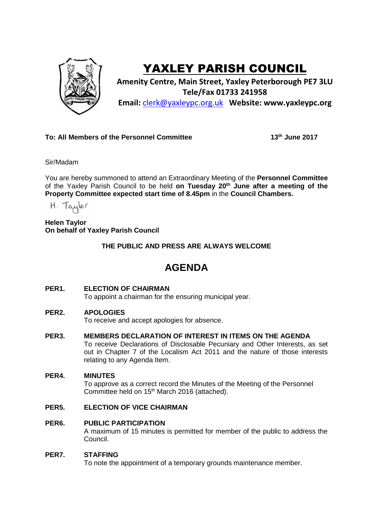

# YAXLEY PARISH COUNCIL

**Amenity Centre, Main Street, Yaxley Peterborough PE7 3LU Tele/Fax 01733 241958 Email:** [clerk@yaxleypc.org.uk](mailto:clerk@yaxleypc.org.uk) **Website: www.yaxleypc.org**

### **To: All Members of the Personnel Committee 13th June 2017**

Sir/Madam

You are hereby summoned to attend an Extraordinary Meeting of the **Personnel Committee** of the Yaxley Parish Council to be held **on Tuesday 20th June after a meeting of the Property Committee expected start time of 8.45pm** in the **Council Chambers.**

H. Taylor

**Helen Taylor On behalf of Yaxley Parish Council**

**THE PUBLIC AND PRESS ARE ALWAYS WELCOME**

## **AGENDA**

#### **PER1. ELECTION OF CHAIRMAN**

To appoint a chairman for the ensuring municipal year.

#### **PER2. APOLOGIES**

To receive and accept apologies for absence.

**PER3. MEMBERS DECLARATION OF INTEREST IN ITEMS ON THE AGENDA**

To receive Declarations of Disclosable Pecuniary and Other Interests, as set out in Chapter 7 of the Localism Act 2011 and the nature of those interests relating to any Agenda Item.

#### **PER4. MINUTES**

To approve as a correct record the Minutes of the Meeting of the Personnel Committee held on 15<sup>th</sup> March 2016 (attached).

#### **PER5. ELECTION OF VICE CHAIRMAN**

#### **PER6. PUBLIC PARTICIPATION**

A maximum of 15 minutes is permitted for member of the public to address the Council.

#### **PER7. STAFFING**

To note the appointment of a temporary grounds maintenance member.